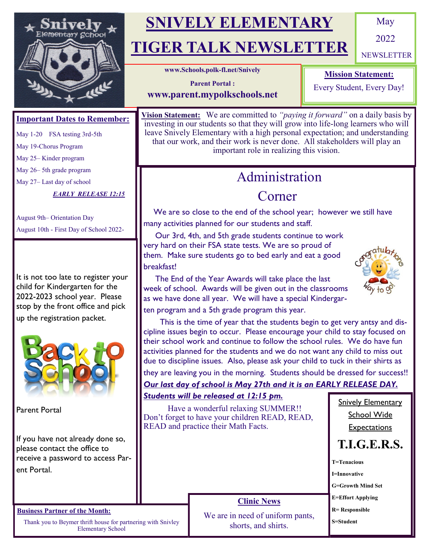

# **SNIVELY ELEMENTARY**

# **TIGER TALK NEWSLETTER**

May

2022

**NEWSLETTER** 

**www.Schools.polk-fl.net/Snively** 

#### **Mission Statement:**

Every Student, Every Day!

**Parent Portal : www.parent.mypolkschools.net**

### **Important Dates to Remember:**

May 1-20 FSA testing 3rd-5th

May 19-Chorus Program

May 25– Kinder program

May 26– 5th grade program

May 27– Last day of school

*EARLY RELEASE 12:15*

August 9th– Orientation Day August 10th - First Day of School 2022-

It is not too late to register your child for Kindergarten for the 2022-2023 school year. Please stop by the front office and pick up the registration packet.



Parent Portal

If you have not already done so, please contact the office to receive a password to access Parent Portal.

#### **Business Partner of the Month:**

Thank you to Beymer thrift house for partnering with Snivley Elementary School

**Vision Statement:** We are committed to *"paying it forward"* on a daily basis by investing in our students so that they will grow into life-long learners who will leave Snively Elementary with a high personal expectation; and understanding that our work, and their work is never done. All stakeholders will play an important role in realizing this vision.

## Administration

## Corner

We are so close to the end of the school year; however we still have many activities planned for our students and staff.

 Our 3rd, 4th, and 5th grade students continue to work very hard on their FSA state tests. We are so proud of them. Make sure students go to bed early and eat a good breakfast!



 The End of the Year Awards will take place the last week of school. Awards will be given out in the classrooms as we have done all year. We will have a special Kindergarten program and a 5th grade program this year.

 This is the time of year that the students begin to get very antsy and discipline issues begin to occur. Please encourage your child to stay focused on their school work and continue to follow the school rules. We do have fun activities planned for the students and we do not want any child to miss out due to discipline issues. Also, please ask your child to tuck in their shirts as

## they are leaving you in the morning. Students should be dressed for success!!

### *Our last day of school is May 27th and it is an EARLY RELEASE DAY. Students will be released at 12:15 pm.*

 Have a wonderful relaxing SUMMER!! Don't forget to have your children READ, READ, READ and practice their Math Facts. **Snively Elementary** School Wide **Expectations T.I.G.E.R.S. T=Tenacious I=Innovative G=Growth Mind Set E=Effort Applying R= Responsible S=Student Clinic News** We are in need of uniform pants, shorts, and shirts.